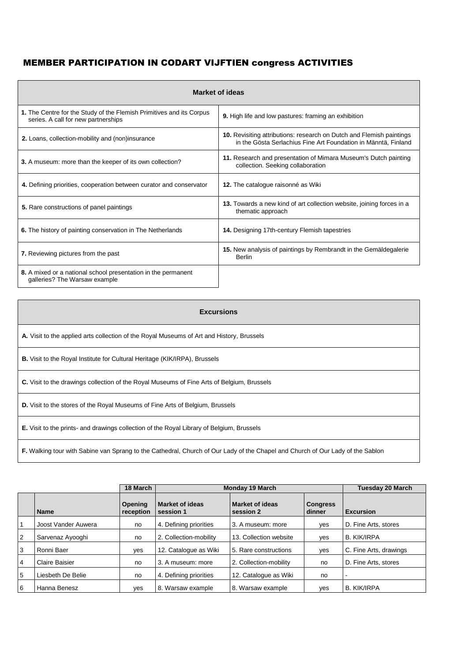## MEMBER PARTICIPATION IN CODART VIJFTIEN congress ACTIVITIES

| <b>Market of ideas</b>                                                                                      |                                                                                                                                        |  |  |  |  |  |
|-------------------------------------------------------------------------------------------------------------|----------------------------------------------------------------------------------------------------------------------------------------|--|--|--|--|--|
| 1. The Centre for the Study of the Flemish Primitives and its Corpus<br>series. A call for new partnerships | 9. High life and low pastures: framing an exhibition                                                                                   |  |  |  |  |  |
| 2. Loans, collection-mobility and (non)insurance                                                            | 10. Revisiting attributions: research on Dutch and Flemish paintings<br>in the Gösta Serlachius Fine Art Foundation in Männtä, Finland |  |  |  |  |  |
| 3. A museum: more than the keeper of its own collection?                                                    | 11. Research and presentation of Mimara Museum's Dutch painting<br>collection. Seeking collaboration                                   |  |  |  |  |  |
| 4. Defining priorities, cooperation between curator and conservator                                         | 12. The catalogue raisonné as Wiki                                                                                                     |  |  |  |  |  |
| 5. Rare constructions of panel paintings                                                                    | 13. Towards a new kind of art collection website, joining forces in a<br>thematic approach                                             |  |  |  |  |  |
| 6. The history of painting conservation in The Netherlands                                                  | 14. Designing 17th-century Flemish tapestries                                                                                          |  |  |  |  |  |
| 7. Reviewing pictures from the past                                                                         | 15. New analysis of paintings by Rembrandt in the Gemäldegalerie<br>Berlin                                                             |  |  |  |  |  |
| 8. A mixed or a national school presentation in the permanent<br>galleries? The Warsaw example              |                                                                                                                                        |  |  |  |  |  |

| <b>Excursions</b>                                                                                                              |
|--------------------------------------------------------------------------------------------------------------------------------|
| A. Visit to the applied arts collection of the Royal Museums of Art and History, Brussels                                      |
| <b>B.</b> Visit to the Royal Institute for Cultural Heritage (KIK/IRPA), Brussels                                              |
| C. Visit to the drawings collection of the Royal Museums of Fine Arts of Belgium, Brussels                                     |
| <b>D.</b> Visit to the stores of the Royal Museums of Fine Arts of Belgium, Brussels                                           |
| <b>E.</b> Visit to the prints- and drawings collection of the Royal Library of Belgium, Brussels                               |
| F. Walking tour with Sabine van Sprang to the Cathedral, Church of Our Lady of the Chapel and Church of Our Lady of the Sablon |

|                |                     | 18 March             |                                     | <b>Monday 19 March</b>              |                           |                        |  |
|----------------|---------------------|----------------------|-------------------------------------|-------------------------------------|---------------------------|------------------------|--|
|                | <b>Name</b>         | Opening<br>reception | <b>Market of ideas</b><br>session 1 | <b>Market of ideas</b><br>session 2 | <b>Congress</b><br>dinner | <b>Excursion</b>       |  |
|                | Joost Vander Auwera | no                   | 4. Defining priorities              | 3. A museum: more                   | yes                       | D. Fine Arts, stores   |  |
| 2              | Sarvenaz Ayooghi    | no                   | 2. Collection-mobility              | 13. Collection website              | yes                       | <b>B. KIK/IRPA</b>     |  |
| 3              | Ronni Baer          | yes                  | 12. Catalogue as Wiki               | 5. Rare constructions               | yes                       | C. Fine Arts, drawings |  |
| $\overline{4}$ | Claire Baisier      | no                   | 3. A museum: more                   | 2. Collection-mobility              | no                        | D. Fine Arts, stores   |  |
| 5              | Liesbeth De Belie   | no                   | 4. Defining priorities              | 12. Catalogue as Wiki               | no                        |                        |  |
| 6              | Hanna Benesz        | <b>ves</b>           | 8. Warsaw example                   | 8. Warsaw example                   | yes                       | B. KIK/IRPA            |  |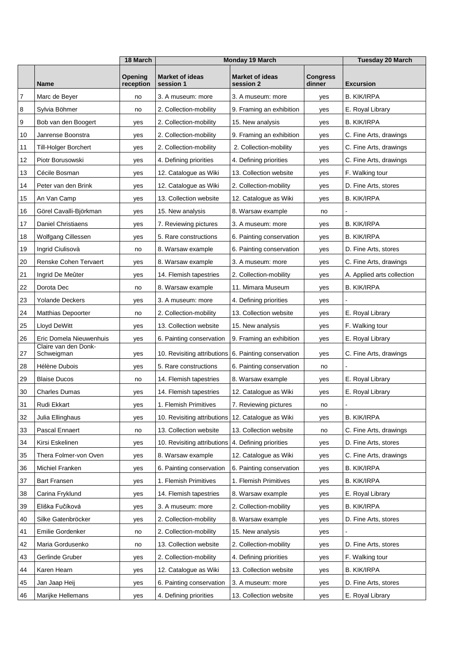|                |                                    | 18 March             | <b>Monday 19 March</b>              |                                     |                           | <b>Tuesday 20 March</b>    |
|----------------|------------------------------------|----------------------|-------------------------------------|-------------------------------------|---------------------------|----------------------------|
|                | <b>Name</b>                        | Opening<br>reception | <b>Market of ideas</b><br>session 1 | <b>Market of ideas</b><br>session 2 | <b>Congress</b><br>dinner | <b>Excursion</b>           |
| $\overline{7}$ | Marc de Beyer                      | no                   | 3. A museum: more                   | 3. A museum: more                   | yes                       | <b>B. KIK/IRPA</b>         |
| 8              | Sylvia Böhmer                      | no                   | 2. Collection-mobility              | 9. Framing an exhibition            | yes                       | E. Royal Library           |
| 9              | Bob van den Boogert                | yes                  | 2. Collection-mobility              | 15. New analysis                    | yes                       | B. KIK/IRPA                |
| 10             | Janrense Boonstra                  | yes                  | 2. Collection-mobility              | 9. Framing an exhibition            | yes                       | C. Fine Arts, drawings     |
| 11             | Till-Holger Borchert               | yes                  | 2. Collection-mobility              | 2. Collection-mobility              | yes                       | C. Fine Arts, drawings     |
| 12             | Piotr Borusowski                   | yes                  | 4. Defining priorities              | 4. Defining priorities              | yes                       | C. Fine Arts, drawings     |
| 13             | Cécile Bosman                      | yes                  | 12. Catalogue as Wiki               | 13. Collection website              | yes                       | F. Walking tour            |
| 14             | Peter van den Brink                | yes                  | 12. Catalogue as Wiki               | 2. Collection-mobility              | yes                       | D. Fine Arts, stores       |
| 15             | An Van Camp                        | yes                  | 13. Collection website              | 12. Catalogue as Wiki               | yes                       | B. KIK/IRPA                |
| 16             | Görel Cavalli-Björkman             | yes                  | 15. New analysis                    | 8. Warsaw example                   | no                        |                            |
| 17             | <b>Daniel Christiaens</b>          | yes                  | 7. Reviewing pictures               | 3. A museum: more                   | yes                       | <b>B. KIK/IRPA</b>         |
| 18             | <b>Wolfgang Cillessen</b>          | yes                  | 5. Rare constructions               | 6. Painting conservation            | yes                       | <b>B. KIK/IRPA</b>         |
| 19             | Ingrid Ciulisovà                   | no                   | 8. Warsaw example                   | 6. Painting conservation            | yes                       | D. Fine Arts, stores       |
| 20             | Renske Cohen Tervaert              | yes                  | 8. Warsaw example                   | 3. A museum: more                   | yes                       | C. Fine Arts, drawings     |
| 21             | Ingrid De Meûter                   | yes                  | 14. Flemish tapestries              | 2. Collection-mobility              | yes                       | A. Applied arts collection |
| 22             | Dorota Dec                         | no                   | 8. Warsaw example                   | 11. Mimara Museum                   | yes                       | <b>B. KIK/IRPA</b>         |
| 23             | <b>Yolande Deckers</b>             | yes                  | 3. A museum: more                   | 4. Defining priorities              | yes                       |                            |
| 24             | <b>Matthias Depoorter</b>          | no                   | 2. Collection-mobility              | 13. Collection website              | yes                       | E. Royal Library           |
| 25             | Lloyd DeWitt                       | yes                  | 13. Collection website              | 15. New analysis                    | yes                       | F. Walking tour            |
| 26             | Eric Domela Nieuwenhuis            | yes                  | 6. Painting conservation            | 9. Framing an exhibition            | yes                       | E. Royal Library           |
| 27             | Claire van den Donk-<br>Schweigman | yes                  | 10. Revisiting attributions         | 6. Painting conservation            | yes                       | C. Fine Arts, drawings     |
| 28             | Hélène Dubois                      | yes                  | 5. Rare constructions               | 6. Painting conservation            | no                        |                            |
| 29             | <b>Blaise Ducos</b>                | no                   | 14. Flemish tapestries              | 8. Warsaw example                   | yes                       | E. Royal Library           |
| 30             | <b>Charles Dumas</b>               | yes                  | 14. Flemish tapestries              | 12. Catalogue as Wiki               | yes                       | E. Royal Library           |
| 31             | Rudi Ekkart                        | yes                  | 1. Flemish Primitives               | 7. Reviewing pictures               | no                        |                            |
| 32             | Julia Ellinghaus                   | yes                  | 10. Revisiting attributions         | 12. Catalogue as Wiki               | yes                       | <b>B. KIK/IRPA</b>         |
| 33             | Pascal Ennaert                     | no                   | 13. Collection website              | 13. Collection website              | no                        | C. Fine Arts, drawings     |
| 34             | Kirsi Eskelinen                    | yes                  | 10. Revisiting attributions         | 4. Defining priorities              | yes                       | D. Fine Arts, stores       |
| 35             | Thera Folmer-von Oven              | yes                  | 8. Warsaw example                   | 12. Catalogue as Wiki               | yes                       | C. Fine Arts, drawings     |
| 36             | Michiel Franken                    | yes                  | 6. Painting conservation            | 6. Painting conservation            | yes                       | <b>B. KIK/IRPA</b>         |
| 37             | <b>Bart Fransen</b>                | yes                  | 1. Flemish Primitives               | 1. Flemish Primitives               | yes                       | <b>B. KIK/IRPA</b>         |
| 38             | Carina Fryklund                    | yes                  | 14. Flemish tapestries              | 8. Warsaw example                   | yes                       | E. Royal Library           |
| 39             | Eliška Fučíková                    | yes                  | 3. A museum: more                   | 2. Collection-mobility              | yes                       | <b>B. KIK/IRPA</b>         |
| 40             | Silke Gatenbröcker                 | yes                  | 2. Collection-mobility              | 8. Warsaw example                   | yes                       | D. Fine Arts, stores       |
| 41             | Emilie Gordenker                   | no                   | 2. Collection-mobility              | 15. New analysis                    | yes                       |                            |
| 42             | Maria Gordusenko                   | no                   | 13. Collection website              | 2. Collection-mobility              | yes                       | D. Fine Arts, stores       |
| 43             | Gerlinde Gruber                    | yes                  | 2. Collection-mobility              | 4. Defining priorities              | yes                       | F. Walking tour            |
| 44             | Karen Hearn                        | yes                  | 12. Catalogue as Wiki               | 13. Collection website              | yes                       | <b>B. KIK/IRPA</b>         |
| 45             | Jan Jaap Heij                      | yes                  | 6. Painting conservation            | 3. A museum: more                   | yes                       | D. Fine Arts, stores       |
| 46             | Marijke Hellemans                  | yes                  | 4. Defining priorities              | 13. Collection website              | yes                       | E. Royal Library           |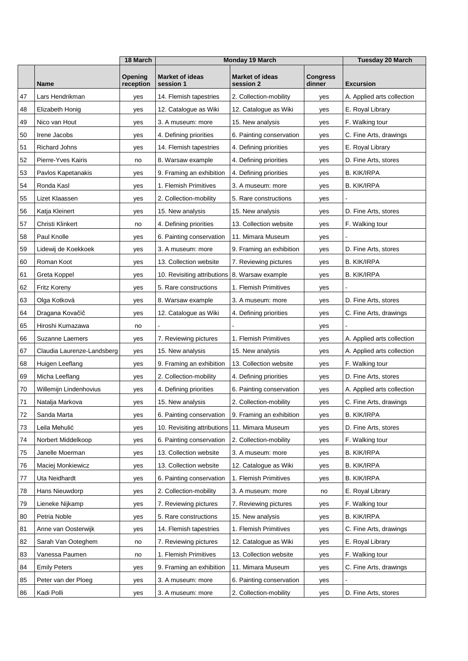|    |                            | 18 March             | <b>Monday 19 March</b>              |                                     |                           | <b>Tuesday 20 March</b>    |
|----|----------------------------|----------------------|-------------------------------------|-------------------------------------|---------------------------|----------------------------|
|    | Name                       | Opening<br>reception | <b>Market of ideas</b><br>session 1 | <b>Market of ideas</b><br>session 2 | <b>Congress</b><br>dinner | <b>Excursion</b>           |
| 47 | Lars Hendrikman            | yes                  | 14. Flemish tapestries              | 2. Collection-mobility              | yes                       | A. Applied arts collection |
| 48 | Elizabeth Honig            | yes                  | 12. Catalogue as Wiki               | 12. Catalogue as Wiki               | yes                       | E. Royal Library           |
| 49 | Nico van Hout              | yes                  | 3. A museum: more                   | 15. New analysis                    | yes                       | F. Walking tour            |
| 50 | Irene Jacobs               | yes                  | 4. Defining priorities              | 6. Painting conservation            | yes                       | C. Fine Arts, drawings     |
| 51 | <b>Richard Johns</b>       | yes                  | 14. Flemish tapestries              | 4. Defining priorities              | yes                       | E. Royal Library           |
| 52 | Pierre-Yves Kairis         | no                   | 8. Warsaw example                   | 4. Defining priorities              | yes                       | D. Fine Arts, stores       |
| 53 | Pavlos Kapetanakis         | yes                  | 9. Framing an exhibition            | 4. Defining priorities              | yes                       | <b>B. KIK/IRPA</b>         |
| 54 | Ronda Kasl                 | yes                  | 1. Flemish Primitives               | 3. A museum: more                   | yes                       | <b>B. KIK/IRPA</b>         |
| 55 | Lizet Klaassen             | yes                  | 2. Collection-mobility              | 5. Rare constructions               | yes                       |                            |
| 56 | Katja Kleinert             | yes                  | 15. New analysis                    | 15. New analysis                    | yes                       | D. Fine Arts, stores       |
| 57 | Christi Klinkert           | no                   | 4. Defining priorities              | 13. Collection website              | yes                       | F. Walking tour            |
| 58 | Paul Knolle                | yes                  | 6. Painting conservation            | 11. Mimara Museum                   | yes                       |                            |
| 59 | Lidewij de Koekkoek        | yes                  | 3. A museum: more                   | 9. Framing an exhibition            | yes                       | D. Fine Arts, stores       |
| 60 | Roman Koot                 | yes                  | 13. Collection website              | 7. Reviewing pictures               | yes                       | <b>B. KIK/IRPA</b>         |
| 61 | Greta Koppel               | yes                  | 10. Revisiting attributions         | 8. Warsaw example                   | yes                       | <b>B. KIK/IRPA</b>         |
| 62 | Fritz Koreny               | yes                  | 5. Rare constructions               | 1. Flemish Primitives               | yes                       |                            |
| 63 | Olga Kotková               | yes                  | 8. Warsaw example                   | 3. A museum: more                   | yes                       | D. Fine Arts, stores       |
| 64 | Dragana Kovačič            | yes                  | 12. Catalogue as Wiki               | 4. Defining priorities              | yes                       | C. Fine Arts, drawings     |
| 65 | Hiroshi Kumazawa           | no                   |                                     |                                     | yes                       |                            |
| 66 | Suzanne Laemers            | yes                  | 7. Reviewing pictures               | 1. Flemish Primitives               | yes                       | A. Applied arts collection |
| 67 | Claudia Laurenze-Landsberg | yes                  | 15. New analysis                    | 15. New analysis                    | yes                       | A. Applied arts collection |
| 68 | Huigen Leeflang            | yes                  | 9. Framing an exhibition            | 13. Collection website              | yes                       | F. Walking tour            |
| 69 | Micha Leeflang             | yes                  | 2. Collection-mobility              | 4. Defining priorities              | yes                       | D. Fine Arts, stores       |
| 70 | Willemijn Lindenhovius     | yes                  | 4. Defining priorities              | 6. Painting conservation            | yes                       | A. Applied arts collection |
| 71 | Natalja Markova            | yes                  | 15. New analysis                    | 2. Collection-mobility              | yes                       | C. Fine Arts, drawings     |
| 72 | Sanda Marta                | yes                  | 6. Painting conservation            | 9. Framing an exhibition            | yes                       | <b>B. KIK/IRPA</b>         |
| 73 | Leila Mehulić              | yes                  | 10. Revisiting attributions         | 11. Mimara Museum                   | yes                       | D. Fine Arts, stores       |
| 74 | Norbert Middelkoop         | yes                  | 6. Painting conservation            | 2. Collection-mobility              | yes                       | F. Walking tour            |
| 75 | Janelle Moerman            | yes                  | 13. Collection website              | 3. A museum: more                   | yes                       | <b>B. KIK/IRPA</b>         |
| 76 | Maciej Monkiewicz          | yes                  | 13. Collection website              | 12. Catalogue as Wiki               | yes                       | <b>B. KIK/IRPA</b>         |
| 77 | Uta Neidhardt              | yes                  | 6. Painting conservation            | 1. Flemish Primitives               | yes                       | <b>B. KIK/IRPA</b>         |
| 78 | Hans Nieuwdorp             | yes                  | 2. Collection-mobility              | 3. A museum: more                   | no                        | E. Royal Library           |
| 79 | Lieneke Nijkamp            | yes                  | 7. Reviewing pictures               | 7. Reviewing pictures               | yes                       | F. Walking tour            |
| 80 | Petria Noble               | yes                  | 5. Rare constructions               | 15. New analysis                    | yes                       | <b>B. KIK/IRPA</b>         |
| 81 | Anne van Oosterwijk        | yes                  | 14. Flemish tapestries              | 1. Flemish Primitives               | yes                       | C. Fine Arts, drawings     |
| 82 | Sarah Van Ooteghem         | no                   | 7. Reviewing pictures               | 12. Catalogue as Wiki               | yes                       | E. Royal Library           |
| 83 | Vanessa Paumen             | no                   | 1. Flemish Primitives               | 13. Collection website              | yes                       | F. Walking tour            |
| 84 | <b>Emily Peters</b>        | yes                  | 9. Framing an exhibition            | 11. Mimara Museum                   | yes                       | C. Fine Arts, drawings     |
| 85 | Peter van der Ploeg        | yes                  | 3. A museum: more                   | 6. Painting conservation            | yes                       |                            |
| 86 | Kadi Polli                 | yes                  | 3. A museum: more                   | 2. Collection-mobility              | yes                       | D. Fine Arts, stores       |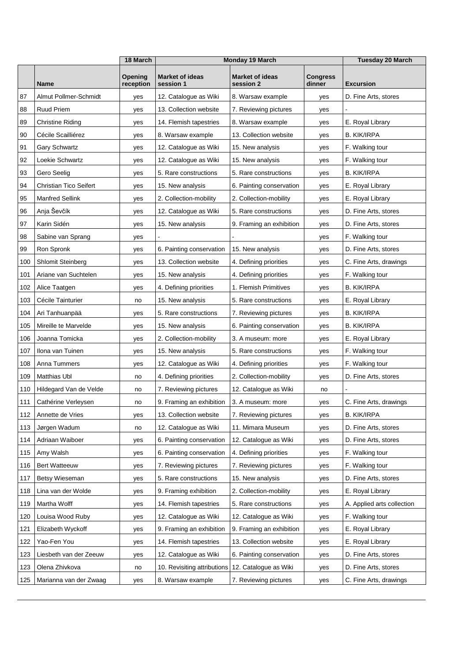|     |                               | 18 March             | <b>Monday 19 March</b>              |                                     |                           | <b>Tuesday 20 March</b>    |
|-----|-------------------------------|----------------------|-------------------------------------|-------------------------------------|---------------------------|----------------------------|
|     | <b>Name</b>                   | Opening<br>reception | <b>Market of ideas</b><br>session 1 | <b>Market of ideas</b><br>session 2 | <b>Congress</b><br>dinner | <b>Excursion</b>           |
| 87  | Almut Pollmer-Schmidt         | yes                  | 12. Catalogue as Wiki               | 8. Warsaw example                   | yes                       | D. Fine Arts, stores       |
| 88  | <b>Ruud Priem</b>             | yes                  | 13. Collection website              | 7. Reviewing pictures               | yes                       |                            |
| 89  | <b>Christine Riding</b>       | yes                  | 14. Flemish tapestries              | 8. Warsaw example                   | yes                       | E. Royal Library           |
| 90  | Cécile Scailliérez            | yes                  | 8. Warsaw example                   | 13. Collection website              | yes                       | <b>B. KIK/IRPA</b>         |
| 91  | Gary Schwartz                 | yes                  | 12. Catalogue as Wiki               | 15. New analysis                    | yes                       | F. Walking tour            |
| 92  | Loekie Schwartz               | yes                  | 12. Catalogue as Wiki               | 15. New analysis                    | yes                       | F. Walking tour            |
| 93  | Gero Seelig                   | yes                  | 5. Rare constructions               | 5. Rare constructions               | yes                       | <b>B. KIK/IRPA</b>         |
| 94  | <b>Christian Tico Seifert</b> | yes                  | 15. New analysis                    | 6. Painting conservation            | yes                       | E. Royal Library           |
| 95  | <b>Manfred Sellink</b>        | yes                  | 2. Collection-mobility              | 2. Collection-mobility              | yes                       | E. Royal Library           |
| 96  | Anja Ševčík                   | yes                  | 12. Catalogue as Wiki               | 5. Rare constructions               | yes                       | D. Fine Arts, stores       |
| 97  | Karin Sidén                   | yes                  | 15. New analysis                    | 9. Framing an exhibition            | yes                       | D. Fine Arts, stores       |
| 98  | Sabine van Sprang             | yes                  |                                     |                                     | yes                       | F. Walking tour            |
| 99  | Ron Spronk                    | yes                  | 6. Painting conservation            | 15. New analysis                    | yes                       | D. Fine Arts, stores       |
| 100 | <b>Shlomit Steinberg</b>      | yes                  | 13. Collection website              | 4. Defining priorities              | yes                       | C. Fine Arts, drawings     |
| 101 | Ariane van Suchtelen          | yes                  | 15. New analysis                    | 4. Defining priorities              | yes                       | F. Walking tour            |
| 102 | Alice Taatgen                 | yes                  | 4. Defining priorities              | 1. Flemish Primitives               | yes                       | B. KIK/IRPA                |
| 103 | Cécile Tainturier             | no                   | 15. New analysis                    | 5. Rare constructions               | yes                       | E. Royal Library           |
| 104 | Ari Tanhuanpää                | yes                  | 5. Rare constructions               | 7. Reviewing pictures               | yes                       | <b>B. KIK/IRPA</b>         |
| 105 | Mireille te Marvelde          | yes                  | 15. New analysis                    | 6. Painting conservation            | yes                       | B. KIK/IRPA                |
| 106 | Joanna Tomicka                | yes                  | 2. Collection-mobility              | 3. A museum: more                   | yes                       | E. Royal Library           |
| 107 | Ilona van Tuinen              | yes                  | 15. New analysis                    | 5. Rare constructions               | yes                       | F. Walking tour            |
| 108 | Anna Tummers                  | yes                  | 12. Catalogue as Wiki               | 4. Defining priorities              | yes                       | F. Walking tour            |
| 109 | <b>Matthias Ubl</b>           | no                   | 4. Defining priorities              | 2. Collection-mobility              | yes                       | D. Fine Arts, stores       |
| 110 | Hildegard Van de Velde        | no                   | 7. Reviewing pictures               | 12. Catalogue as Wiki               | no                        |                            |
| 111 | Cathérine Verleysen           | no                   | 9. Framing an exhibition            | 3. A museum: more                   | yes                       | C. Fine Arts, drawings     |
| 112 | Annette de Vries              | yes                  | 13. Collection website              | 7. Reviewing pictures               | yes                       | <b>B. KIK/IRPA</b>         |
| 113 | Jørgen Wadum                  | no                   | 12. Catalogue as Wiki               | 11. Mimara Museum                   | yes                       | D. Fine Arts, stores       |
| 114 | Adriaan Waiboer               | yes                  | 6. Painting conservation            | 12. Catalogue as Wiki               | yes                       | D. Fine Arts, stores       |
| 115 | Amy Walsh                     | yes                  | 6. Painting conservation            | 4. Defining priorities              | yes                       | F. Walking tour            |
| 116 | <b>Bert Watteeuw</b>          | yes                  | 7. Reviewing pictures               | 7. Reviewing pictures               | yes                       | F. Walking tour            |
| 117 | Betsy Wieseman                | yes                  | 5. Rare constructions               | 15. New analysis                    | yes                       | D. Fine Arts, stores       |
| 118 | Lina van der Wolde            | yes                  | 9. Framing exhibition               | 2. Collection-mobility              | yes                       | E. Royal Library           |
| 119 | Martha Wolff                  | yes                  | 14. Flemish tapestries              | 5. Rare constructions               | yes                       | A. Applied arts collection |
| 120 | Louisa Wood Ruby              | yes                  | 12. Catalogue as Wiki               | 12. Catalogue as Wiki               | yes                       | F. Walking tour            |
| 121 | Elizabeth Wyckoff             | yes                  | 9. Framing an exhibition            | 9. Framing an exhibition            | yes                       | E. Royal Library           |
| 122 | Yao-Fen You                   | yes                  | 14. Flemish tapestries              | 13. Collection website              | yes                       | E. Royal Library           |
| 123 | Liesbeth van der Zeeuw        | yes                  | 12. Catalogue as Wiki               | 6. Painting conservation            | yes                       | D. Fine Arts, stores       |
| 123 | Olena Zhivkova                | no                   | 10. Revisiting attributions         | 12. Catalogue as Wiki               | yes                       | D. Fine Arts, stores       |
| 125 | Marianna van der Zwaag        | yes                  | 8. Warsaw example                   | 7. Reviewing pictures               | yes                       | C. Fine Arts, drawings     |